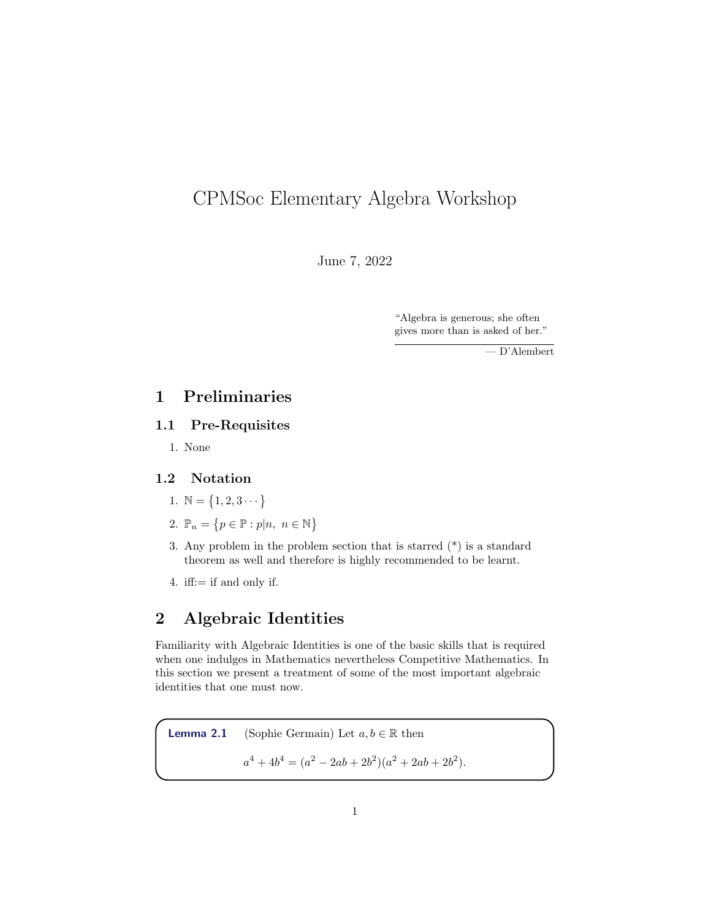# CPMSoc Elementary Algebra Workshop

June 7, 2022

"Algebra is generous; she often gives more than is asked of her."

— D'Alembert

## 1 Preliminaries

### 1.1 Pre-Requisites

1. None

### 1.2 Notation

- 1.  $\mathbb{N} = \{1, 2, 3 \cdots \}$
- 2.  $\mathbb{P}_n = \{p \in \mathbb{P} : p|n, n \in \mathbb{N}\}\$
- 3. Any problem in the problem section that is starred (\*) is a standard theorem as well and therefore is highly recommended to be learnt.
- 4. iff:= if and only if.

## 2 Algebraic Identities

Familiarity with Algebraic Identities is one of the basic skills that is required when one indulges in Mathematics nevertheless Competitive Mathematics. In this section we present a treatment of some of the most important algebraic identities that one must now.

**Lemma 2.1** (Sophie Germain) Let  $a, b \in \mathbb{R}$  then  $a^4 + 4b^4 = (a^2 - 2ab + 2b^2)(a^2 + 2ab + 2b^2).$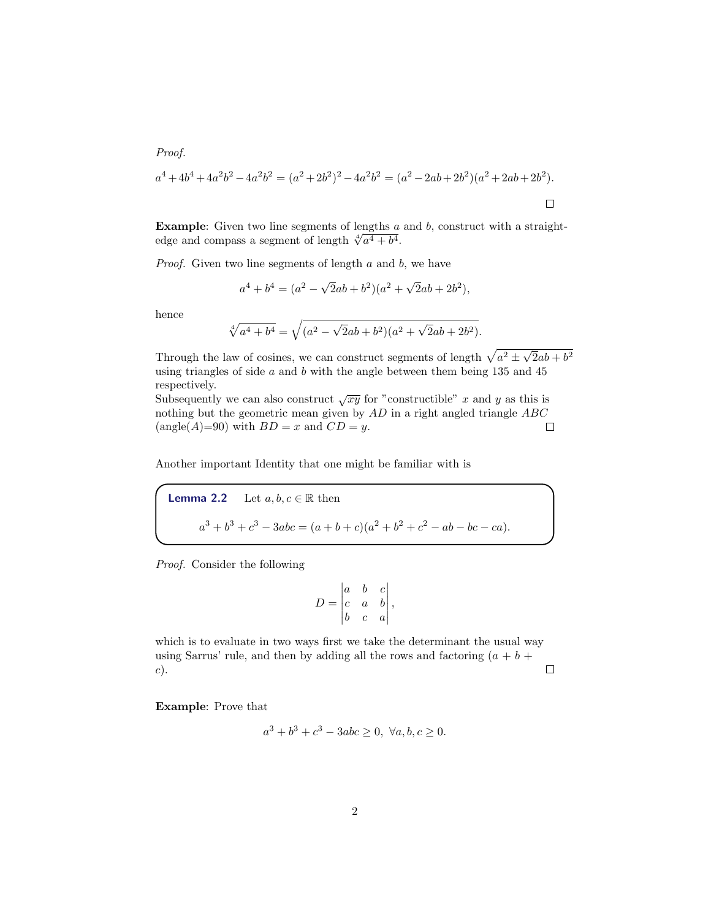Proof.

$$
a^4 + 4b^4 + 4a^2b^2 - 4a^2b^2 = (a^2 + 2b^2)^2 - 4a^2b^2 = (a^2 - 2ab + 2b^2)(a^2 + 2ab + 2b^2).
$$

**Example:** Given two line segments of lengths  $a$  and  $b$ , construct with a straight-**Example:** Given two line segments of lengths  $\frac{a}{\sqrt{a^4 + b^4}}$ .

*Proof.* Given two line segments of length  $a$  and  $b$ , we have

$$
a^4 + b^4 = (a^2 - \sqrt{2}ab + b^2)(a^2 + \sqrt{2}ab + 2b^2),
$$

hence

$$
\sqrt[4]{a^4 + b^4} = \sqrt{(a^2 - \sqrt{2}ab + b^2)(a^2 + \sqrt{2}ab + 2b^2)}.
$$

Through the law of cosines, we can construct segments of length  $\sqrt{a^2 \pm \sqrt{a^2 + 4a^2}}$  $\overline{2}ab+b^2$ using triangles of side  $a$  and  $b$  with the angle between them being 135 and 45 respectively.

Subsequently we can also construct  $\sqrt{xy}$  for "constructible" x and y as this is nothing but the geometric mean given by  $AD$  in a right angled triangle  $ABC$ (angle(A)=90) with  $BD = x$  and  $CD = y$ .  $\Box$ 

Another important Identity that one might be familiar with is

**Lemma 2.2** Let  $a, b, c \in \mathbb{R}$  then  $a^3 + b^3 + c^3 - 3abc = (a + b + c)(a^2 + b^2 + c^2 - ab - bc - ca).$ 

Proof. Consider the following

$$
D = \begin{vmatrix} a & b & c \\ c & a & b \\ b & c & a \end{vmatrix},
$$

which is to evaluate in two ways first we take the determinant the usual way using Sarrus' rule, and then by adding all the rows and factoring  $(a + b +$  $\Box$ c).

Example: Prove that

$$
a^3 + b^3 + c^3 - 3abc \ge 0, \ \forall a, b, c \ge 0.
$$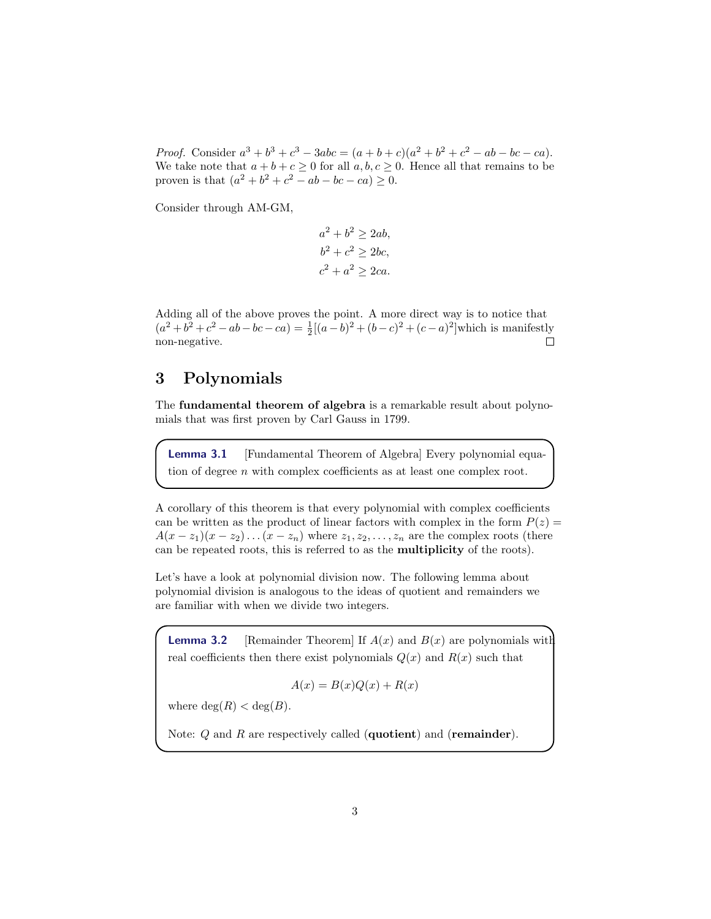*Proof.* Consider  $a^3 + b^3 + c^3 - 3abc = (a + b + c)(a^2 + b^2 + c^2 - ab - bc - ca)$ . We take note that  $a + b + c \ge 0$  for all  $a, b, c \ge 0$ . Hence all that remains to be proven is that  $(a^2 + b^2 + c^2 - ab - bc - ca) \ge 0$ .

Consider through AM-GM,

 $a^2 + b^2 \ge 2ab,$  $b^2 + c^2 \ge 2bc,$  $c^2 + a^2 \ge 2ca$ .

Adding all of the above proves the point. A more direct way is to notice that  $(a^2 + b^2 + c^2 - ab - bc - ca) = \frac{1}{2}[(a - b)^2 + (b - c)^2 + (c - a)^2]$  which is manifestly non-negative.  $\Box$ 

## 3 Polynomials

The fundamental theorem of algebra is a remarkable result about polynomials that was first proven by Carl Gauss in 1799.

Lemma 3.1 [Fundamental Theorem of Algebra] Every polynomial equation of degree n with complex coefficients as at least one complex root.

A corollary of this theorem is that every polynomial with complex coefficients can be written as the product of linear factors with complex in the form  $P(z) =$  $A(x-z_1)(x-z_2)...(x-z_n)$  where  $z_1, z_2,..., z_n$  are the complex roots (there can be repeated roots, this is referred to as the multiplicity of the roots).

Let's have a look at polynomial division now. The following lemma about polynomial division is analogous to the ideas of quotient and remainders we are familiar with when we divide two integers.

**Lemma 3.2** [Remainder Theorem] If  $A(x)$  and  $B(x)$  are polynomials with real coefficients then there exist polynomials  $Q(x)$  and  $R(x)$  such that

$$
A(x) = B(x)Q(x) + R(x)
$$

where  $deg(R) < deg(B)$ .

Note:  $Q$  and  $R$  are respectively called (quotient) and (remainder).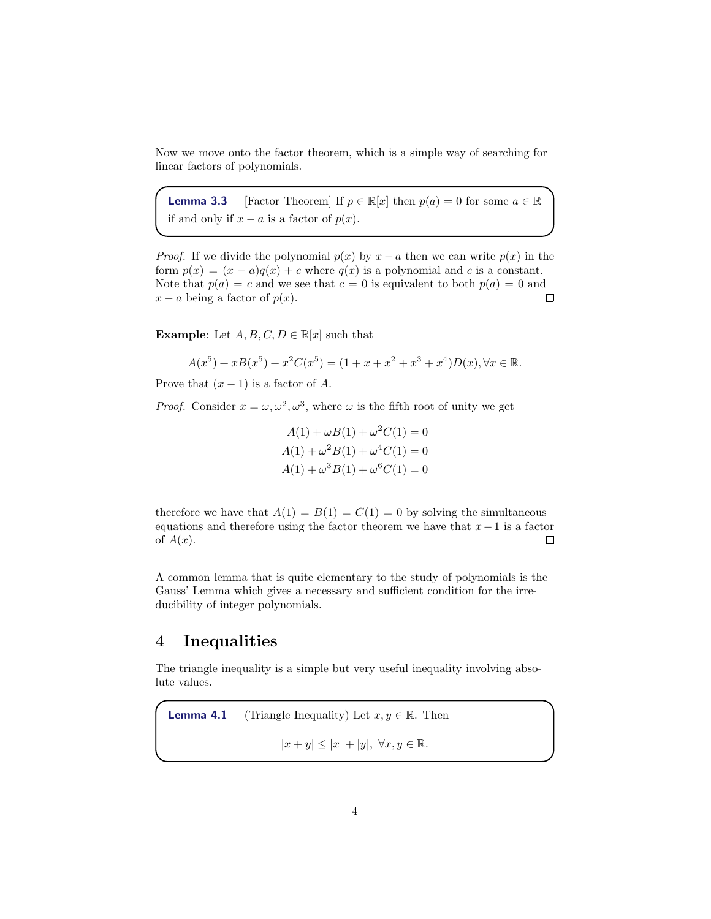Now we move onto the factor theorem, which is a simple way of searching for linear factors of polynomials.

**Lemma 3.3** [Factor Theorem] If  $p \in \mathbb{R}[x]$  then  $p(a) = 0$  for some  $a \in \mathbb{R}$ if and only if  $x - a$  is a factor of  $p(x)$ .

*Proof.* If we divide the polynomial  $p(x)$  by  $x - a$  then we can write  $p(x)$  in the form  $p(x) = (x - a)q(x) + c$  where  $q(x)$  is a polynomial and c is a constant. Note that  $p(a) = c$  and we see that  $c = 0$  is equivalent to both  $p(a) = 0$  and  $x - a$  being a factor of  $p(x)$ .  $\Box$ 

**Example:** Let  $A, B, C, D \in \mathbb{R}[x]$  such that

$$
A(x5) + xB(x5) + x2C(x5) = (1 + x + x2 + x3 + x4)D(x), \forall x \in \mathbb{R}.
$$

Prove that  $(x - 1)$  is a factor of A.

*Proof.* Consider  $x = \omega, \omega^2, \omega^3$ , where  $\omega$  is the fifth root of unity we get

$$
A(1) + \omega B(1) + \omega^2 C(1) = 0
$$
  
\n
$$
A(1) + \omega^2 B(1) + \omega^4 C(1) = 0
$$
  
\n
$$
A(1) + \omega^3 B(1) + \omega^6 C(1) = 0
$$

therefore we have that  $A(1) = B(1) = C(1) = 0$  by solving the simultaneous equations and therefore using the factor theorem we have that  $x-1$  is a factor of  $A(x)$ .  $\Box$ 

A common lemma that is quite elementary to the study of polynomials is the Gauss' Lemma which gives a necessary and sufficient condition for the irreducibility of integer polynomials.

### 4 Inequalities

The triangle inequality is a simple but very useful inequality involving absolute values.

**Lemma 4.1** (Triangle Inequality) Let  $x, y \in \mathbb{R}$ . Then  $|x + y| \leq |x| + |y|, \ \forall x, y \in \mathbb{R}.$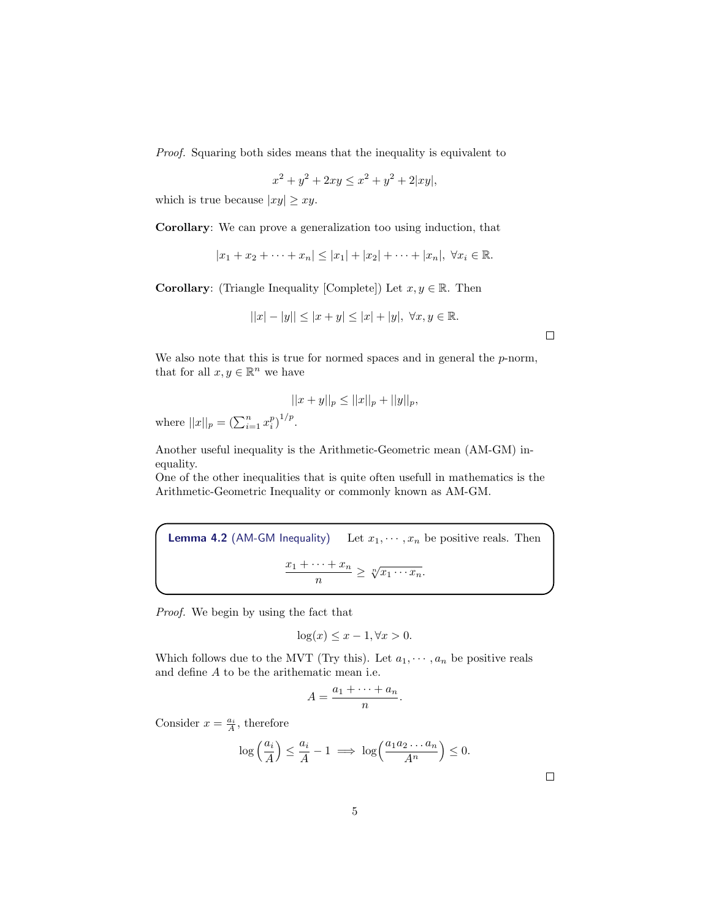Proof. Squaring both sides means that the inequality is equivalent to

$$
x^{2} + y^{2} + 2xy \le x^{2} + y^{2} + 2|xy|,
$$

which is true because  $|xy| \geq xy$ .

Corollary: We can prove a generalization too using induction, that

 $|x_1 + x_2 + \cdots + x_n| \leq |x_1| + |x_2| + \cdots + |x_n|, \ \forall x_i \in \mathbb{R}.$ 

**Corollary:** (Triangle Inequality [Complete]) Let  $x, y \in \mathbb{R}$ . Then

$$
||x|-|y||\leq |x+y|\leq |x|+|y|, \; \forall x,y\in \mathbb{R}.
$$

 $\Box$ 

We also note that this is true for normed spaces and in general the  $p$ -norm, that for all  $x, y \in \mathbb{R}^n$  we have

$$
||x + y||_p \le ||x||_p + ||y||_p,
$$

where  $||x||_p = (\sum_{i=1}^n x_i^p)^{1/p}$ .

Another useful inequality is the Arithmetic-Geometric mean (AM-GM) inequality.

One of the other inequalities that is quite often usefull in mathematics is the Arithmetic-Geometric Inequality or commonly known as AM-GM.

**Lemma 4.2** (AM-GM Inequality) Let  $x_1, \dots, x_n$  be positive reals. Then  $x_1 + \cdots + x_n$  $\frac{n+1}{n} \geq \sqrt[n]{x_1 \cdots x_n}.$ 

Proof. We begin by using the fact that

$$
\log(x) \le x - 1, \forall x > 0.
$$

Which follows due to the MVT (Try this). Let  $a_1, \dots, a_n$  be positive reals and define A to be the arithematic mean i.e.

$$
A=\frac{a_1+\cdots+a_n}{n}.
$$

Consider  $x = \frac{a_i}{A}$ , therefore

$$
\log\left(\frac{a_i}{A}\right) \le \frac{a_i}{A} - 1 \implies \log\left(\frac{a_1 a_2 \dots a_n}{A^n}\right) \le 0.
$$

 $\Box$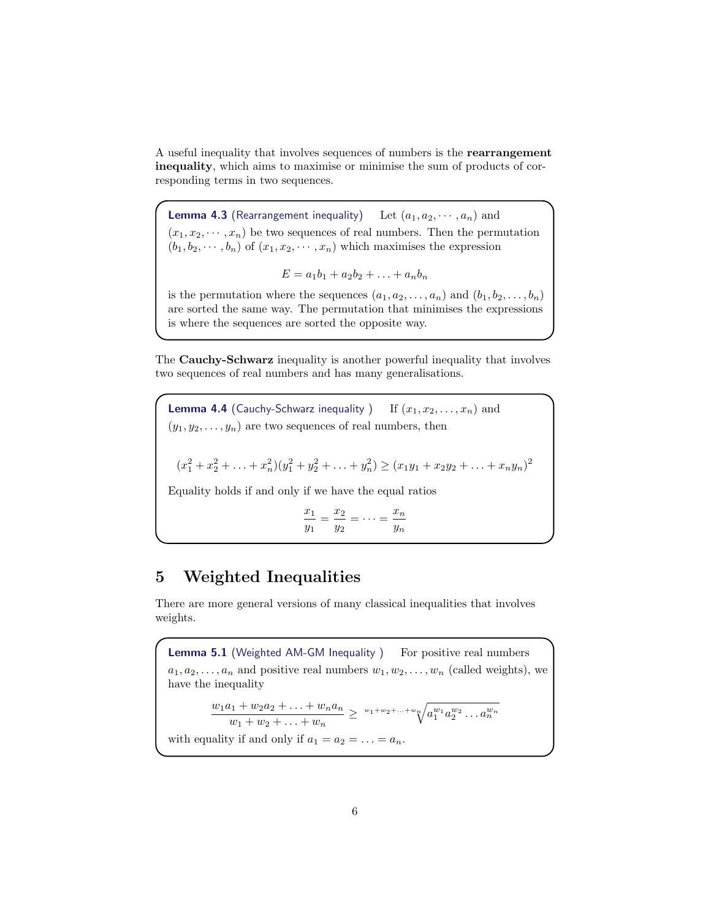A useful inequality that involves sequences of numbers is the rearrangement inequality, which aims to maximise or minimise the sum of products of corresponding terms in two sequences.

**Lemma 4.3** (Rearrangement inequality) Let  $(a_1, a_2, \dots, a_n)$  and  $(x_1, x_2, \dots, x_n)$  be two sequences of real numbers. Then the permutation  $(b_1, b_2, \dots, b_n)$  of  $(x_1, x_2, \dots, x_n)$  which maximises the expression

$$
E = a_1b_1 + a_2b_2 + \ldots + a_nb_n
$$

is the permutation where the sequences  $(a_1, a_2, \ldots, a_n)$  and  $(b_1, b_2, \ldots, b_n)$ are sorted the same way. The permutation that minimises the expressions is where the sequences are sorted the opposite way.

The Cauchy-Schwarz inequality is another powerful inequality that involves two sequences of real numbers and has many generalisations.

**Lemma 4.4** (Cauchy-Schwarz inequality ) If  $(x_1, x_2, \ldots, x_n)$  and  $(y_1, y_2, \ldots, y_n)$  are two sequences of real numbers, then  $(x_1^2 + x_2^2 + \ldots + x_n^2)(y_1^2 + y_2^2 + \ldots + y_n^2) \ge (x_1y_1 + x_2y_2 + \ldots + x_ny_n)^2$ Equality holds if and only if we have the equal ratios  $\overline{x}_1$  $\frac{x_1}{y_1} = \frac{x_2}{y_2}$  $\frac{x_2}{y_2} = \cdots = \frac{x_n}{y_n}$ 

yn

## 5 Weighted Inequalities

There are more general versions of many classical inequalities that involves weights.

**Lemma 5.1** (Weighted AM-GM Inequality ) For positive real numbers  $a_1, a_2, \ldots, a_n$  and positive real numbers  $w_1, w_2, \ldots, w_n$  (called weights), we have the inequality  $w_1a_1 + w_2a_2 + \ldots + w_na_n$  $\frac{w_1+w_2a_2+\ldots+w_na_n}{w_1+w_2+\ldots+w_n} \geq \sqrt[w_1+w_2+\ldots+w_n]{a_1^{w_1}a_2^{w_2}\ldots a_n^{w_n}}$ 

with equality if and only if  $a_1 = a_2 = \ldots = a_n$ .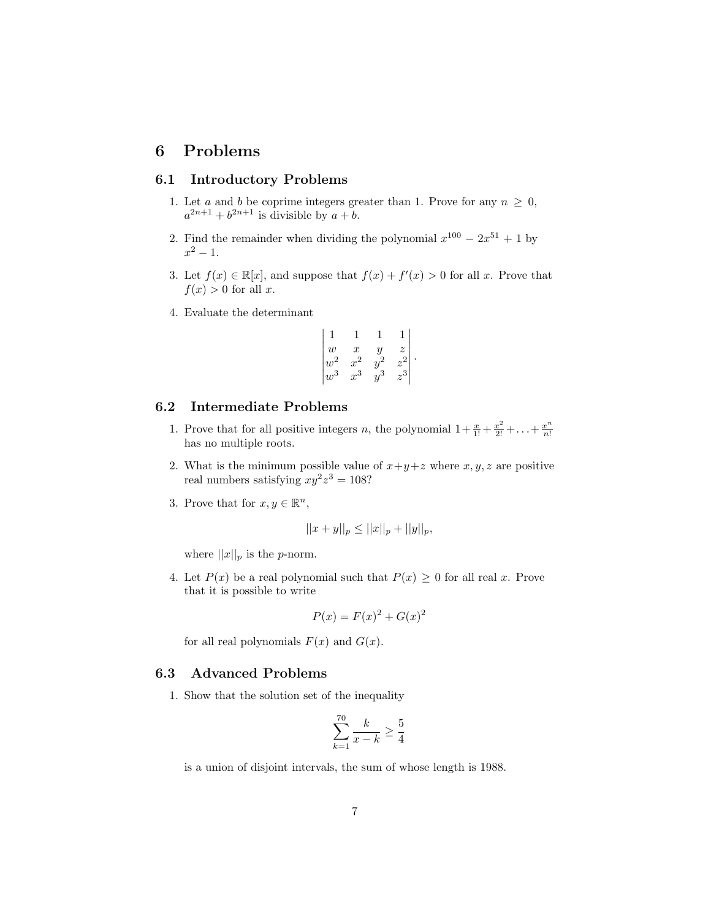### 6 Problems

### 6.1 Introductory Problems

- 1. Let a and b be coprime integers greater than 1. Prove for any  $n \geq 0$ ,  $a^{2n+1} + b^{2n+1}$  is divisible by  $a + b$ .
- 2. Find the remainder when dividing the polynomial  $x^{100} 2x^{51} + 1$  by  $x^2 - 1$ .
- 3. Let  $f(x) \in \mathbb{R}[x]$ , and suppose that  $f(x) + f'(x) > 0$  for all x. Prove that  $f(x) > 0$  for all x.
- 4. Evaluate the determinant

$$
\begin{vmatrix}\n1 & 1 & 1 & 1 \\
w & x & y & z \\
w^2 & x^2 & y^2 & z^2 \\
w^3 & x^3 & y^3 & z^3\n\end{vmatrix}.
$$

#### 6.2 Intermediate Problems

- 1. Prove that for all positive integers n, the polynomial  $1 + \frac{x}{1!} + \frac{x^2}{2!} + \ldots + \frac{x^n}{n!}$ n! has no multiple roots.
- 2. What is the minimum possible value of  $x+y+z$  where  $x, y, z$  are positive real numbers satisfying  $xy^2z^3 = 108$ ?
- 3. Prove that for  $x, y \in \mathbb{R}^n$ ,

$$
||x + y||_p \le ||x||_p + ||y||_p,
$$

where  $||x||_p$  is the *p*-norm.

4. Let  $P(x)$  be a real polynomial such that  $P(x) \geq 0$  for all real x. Prove that it is possible to write

$$
P(x) = F(x)^2 + G(x)^2
$$

for all real polynomials  $F(x)$  and  $G(x)$ .

#### 6.3 Advanced Problems

1. Show that the solution set of the inequality

$$
\sum_{k=1}^{70} \frac{k}{x-k} \ge \frac{5}{4}
$$

is a union of disjoint intervals, the sum of whose length is 1988.